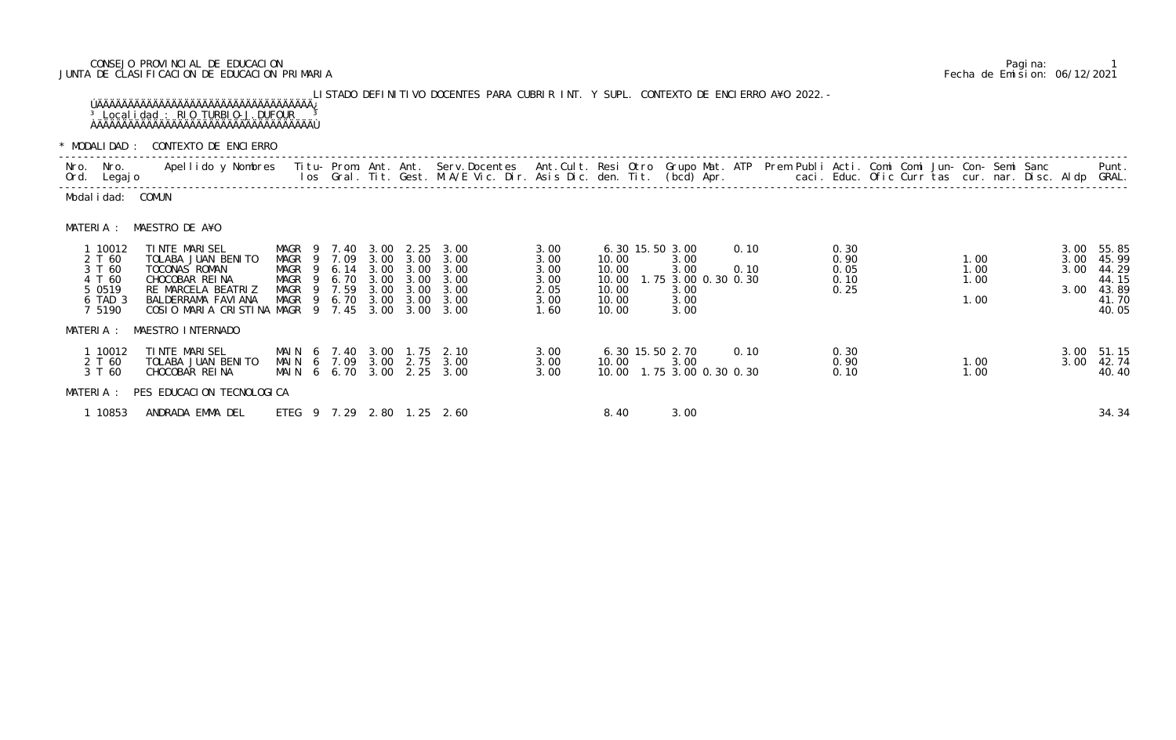## CONSEJO PROVINCIAL DE EDUCACION Pagina: 1 JUNTA DE CLASIFICACION DE EDUCACION PRIMARIA Fecha de Emision: 06/12/2021

## LISTADO DEFINITIVO DOCENTES PARA CUBRIR INT. Y SUPL. CONTEXTO DE ENCIERRO A¥O 2022.- ÚÄÄÄÄÄÄÄÄÄÄÄÄÄÄÄÄÄÄÄÄÄÄÄÄÄÄÄÄÄÄÄÄÄÄÄ¿ <sup>3</sup> Localidad : RIO TURBIO-J.DUFOUR <sup>3</sup> ÀÄÄÄÄÄÄÄÄÄÄÄÄÄÄÄÄÄÄÄÄÄÄÄÄÄÄÄÄÄÄÄÄÄÄÄÙ

\* MODALIDAD : CONTEXTO DE ENCIERRO

| MUDALIDAD . UUNTLATU DE LINGILINNU |                                                                         |                                                                                                                                                             |                        |                                                                        |                                              |                                                      |                                                                                                                           |                                                      |                                                    |  |                                                                                |  |              |                                      |  |                              |                      |                                                                  |
|------------------------------------|-------------------------------------------------------------------------|-------------------------------------------------------------------------------------------------------------------------------------------------------------|------------------------|------------------------------------------------------------------------|----------------------------------------------|------------------------------------------------------|---------------------------------------------------------------------------------------------------------------------------|------------------------------------------------------|----------------------------------------------------|--|--------------------------------------------------------------------------------|--|--------------|--------------------------------------|--|------------------------------|----------------------|------------------------------------------------------------------|
| Nro.                               | Nro.<br>Ord. Legajo                                                     | Apellido y Nombres - Titu- Prom. Ant. Ant. Serv.Docentes - Ant.Cult. Resi Otro Grupo Mat. ATP - Prem Publi Acti. Comi Comi Jun- Con- Semi Sanc              |                        |                                                                        |                                              |                                                      | los Gral. Tit. Gest. M.A/E Vic. Dir. Asis Dic. den. Tit. (bcd) Apr.        caci. Educ. Ofic Curr tas cur. nar. Disc. Aldp |                                                      |                                                    |  |                                                                                |  |              |                                      |  |                              |                      | Punt.<br>GRAL.                                                   |
|                                    | Modal i dad: COMUN                                                      |                                                                                                                                                             |                        |                                                                        |                                              |                                                      |                                                                                                                           |                                                      |                                                    |  |                                                                                |  |              |                                      |  |                              |                      |                                                                  |
|                                    | MATERIA :                                                               | MAESTRO DE A¥O                                                                                                                                              |                        |                                                                        |                                              |                                                      |                                                                                                                           |                                                      |                                                    |  |                                                                                |  |              |                                      |  |                              |                      |                                                                  |
|                                    | 1 10012<br>2 T 60<br>3 T 60<br>4 T 60<br>5 0 5 1 9<br>6 TAD 3<br>7 5190 | TINTE MARISEL<br>TOLABA JUAN BENITO<br>TOCONAS ROMAN<br>CHOCOBAR REINA<br>RE MARCELA BEATRIZ<br>BALDERRAMA FAVIANA<br>COSIO MARIA CRISTINA MAGR 9 7.45 3.00 | MAGR<br>MAGR 9<br>MAGR | MAGR 9 7.40<br>MAGR 9 7.09<br>9 6.14<br>6. 70<br>9 7.59<br>MAGR 9 6.70 | 3.00<br>3.00<br>3.00<br>3.00<br>3.00<br>3.00 | 2.25<br>3.00<br>3.00<br>3.00<br>3.00<br>3.00<br>3.00 | 3.00<br>3.00<br>3.00<br>3.00<br>3.00<br>3.00<br>3.00                                                                      | 3.00<br>3.00<br>3.00<br>3.00<br>2.05<br>3.00<br>1.60 | 10.00<br>10.00<br>10.00<br>10.00<br>10.00<br>10.00 |  | 6.30 15.50 3.00<br>3.00<br>3.00<br>1.75 3.00 0.30 0.30<br>3.00<br>3.00<br>3.00 |  | 0.10<br>0.10 | 0.30<br>0.90<br>0.05<br>0.10<br>0.25 |  | 1.00<br>1.00<br>1.00<br>1.00 | 3.00<br>3.00<br>3.00 | 3.00 55.85<br>45.99<br>44.29<br>44.15<br>43.89<br>41.70<br>40.05 |
|                                    | MATERIA :                                                               | MAESTRO INTERNADO                                                                                                                                           |                        |                                                                        |                                              |                                                      |                                                                                                                           |                                                      |                                                    |  |                                                                                |  |              |                                      |  |                              |                      |                                                                  |
|                                    | 1 10012<br>2 T 60<br>3 T 60                                             | TINTE MARISEL<br>TOLABA JUAN BENITO<br>CHOCOBAR REINA                                                                                                       | MAI N<br>MAI N         | 6 7.40<br>MAIN 6 7.09<br>6 6.70                                        | 3.00<br>3.00<br>3.00                         | 1. 75<br>2.75<br>2.25                                | 2.10<br>3.00<br>3.00                                                                                                      | 3.00<br>3.00<br>3.00                                 | 10.00                                              |  | 6.30 15.50 2.70<br>3.00<br>10.00 1.75 3.00 0.30 0.30                           |  | 0.10         | 0.30<br>0.90<br>0.10                 |  | 1.00<br>1.00                 | 3.00                 | 3.00 51.15<br>42.74<br>40.40                                     |

|                                                                         | MUDALIDAD : CUNTLATU DE LINGILINIU                                                                                                                     |                                                                                    |                          |                                      |                                                       |                                                                                                                          |                                                      |                                                    |                                                                                |              |                                      |  |                              |  |                      |                                                                  |
|-------------------------------------------------------------------------|--------------------------------------------------------------------------------------------------------------------------------------------------------|------------------------------------------------------------------------------------|--------------------------|--------------------------------------|-------------------------------------------------------|--------------------------------------------------------------------------------------------------------------------------|------------------------------------------------------|----------------------------------------------------|--------------------------------------------------------------------------------|--------------|--------------------------------------|--|------------------------------|--|----------------------|------------------------------------------------------------------|
| Nro. Nro.<br>Ord. Legajo                                                | Apellido y Nombres Titu- Prom. Ant. Ant. Serv.Docentes Ant.Cult. Resi Otro Grupo Mat. ATP Prem Publi Acti. Comi Comi Jun- Con- Semi Sanc               |                                                                                    |                          |                                      |                                                       | los Gral. Tit. Gest. M.A/E Vic. Dir. Asis Dic. den. Tit. (bcd) Apr. caci. Educ. Ofic Curr tas cur. nar. Disc. Aldp GRAL. |                                                      |                                                    |                                                                                |              |                                      |  |                              |  |                      | Punt.                                                            |
| Modalidad: COMUN                                                        |                                                                                                                                                        |                                                                                    |                          |                                      |                                                       |                                                                                                                          |                                                      |                                                    |                                                                                |              |                                      |  |                              |  |                      |                                                                  |
| MATERIA :                                                               | MAESTRO DE A¥O                                                                                                                                         |                                                                                    |                          |                                      |                                                       |                                                                                                                          |                                                      |                                                    |                                                                                |              |                                      |  |                              |  |                      |                                                                  |
| 1 10012<br>2 T 60<br>3 T 60<br>4 T 60<br>5 0 5 1 9<br>6 TAD 3<br>7 5190 | TINTE MARISEL<br>TOLABA JUAN BENITO<br>TOCONAS ROMAN<br>CHOCOBAR REINA<br>RE MARCELA BEATRIZ<br>BALDERRAMA FAVIANA<br>COSIO MARIA CRISTINA MAGR 9 7.45 | MAGR 9 7.40 3.00<br>MAGR 9 7.09<br>MAGR<br>MAGR<br>MAGR<br>- 9<br>MAGR 9 6.70 3.00 | 9 6.14<br>9 6.70<br>7.59 | 3.00<br>3.00<br>3.00<br>3.00<br>3.00 | 2. 25<br>3.00<br>3.00<br>3.00<br>3.00<br>3.00<br>3.00 | 3.00<br>3.00<br>3.00<br>3.00<br>3.00<br>3.00<br>3.00                                                                     | 3.00<br>3.00<br>3.00<br>3.00<br>2.05<br>3.00<br>1.60 | 10.00<br>10.00<br>10.00<br>10.00<br>10.00<br>10.00 | 6.30 15.50 3.00<br>3.00<br>3.00<br>1.75 3.00 0.30 0.30<br>3.00<br>3.00<br>3.00 | 0.10<br>0.10 | 0.30<br>0.90<br>0.05<br>0.10<br>0.25 |  | 1.00<br>1.00<br>1.00<br>1.00 |  | 3.00<br>3.00<br>3.00 | 3.00 55.85<br>45.99<br>44.29<br>44.15<br>43.89<br>41.70<br>40.05 |
| MATERIA :                                                               | MAESTRO INTERNADO                                                                                                                                      |                                                                                    |                          |                                      |                                                       |                                                                                                                          |                                                      |                                                    |                                                                                |              |                                      |  |                              |  |                      |                                                                  |
| 1 10012<br>2 T 60<br>3 T 60                                             | TINTE MARISEL<br>TOLABA JUAN BENITO<br>CHOCOBAR REINA                                                                                                  | MAIN 6 7.40 3.00 1.75 2.10<br>MAIN 6 7.09<br>MAIN 6 6.70 3.00                      |                          | 3.00                                 |                                                       | 2.75 3.00<br>$2.25$ $3.00$                                                                                               | 3.00<br>3.00<br>3.00                                 | 10.00                                              | 6.30 15.50 2.70<br>3.00<br>10.00  1.75  3.00  0.30  0.30                       | 0.10         | 0.30<br>0.90<br>0.10                 |  | 1.00<br>1.00                 |  | 3.00                 | 3.00 51.15<br>42.74<br>40.40                                     |
| MATERIA :                                                               | PES EDUCACION TECNOLOGICA                                                                                                                              |                                                                                    |                          |                                      |                                                       |                                                                                                                          |                                                      |                                                    |                                                                                |              |                                      |  |                              |  |                      |                                                                  |
| 1 10853                                                                 | ANDRADA EMMA DEL                                                                                                                                       | ETEG 9 7.29 2.80 1.25 2.60                                                         |                          |                                      |                                                       |                                                                                                                          |                                                      | 8.40                                               | 3.00                                                                           |              |                                      |  |                              |  |                      | 34.34                                                            |